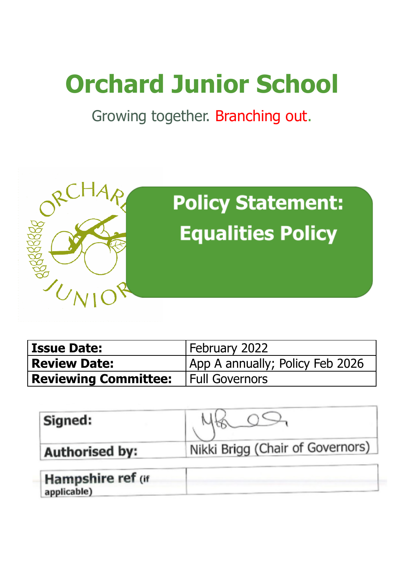# **Orchard Junior School**

Growing together. Branching out.



| <b>Issue Date:</b>          | February 2022                   |
|-----------------------------|---------------------------------|
| <b>Review Date:</b>         | App A annually; Policy Feb 2026 |
| <b>Reviewing Committee:</b> | <b>Full Governors</b>           |

| Signed:               |                                  |
|-----------------------|----------------------------------|
| <b>Authorised by:</b> | Nikki Brigg (Chair of Governors) |

| Hampshire ref (if |  |
|-------------------|--|
| applicable)       |  |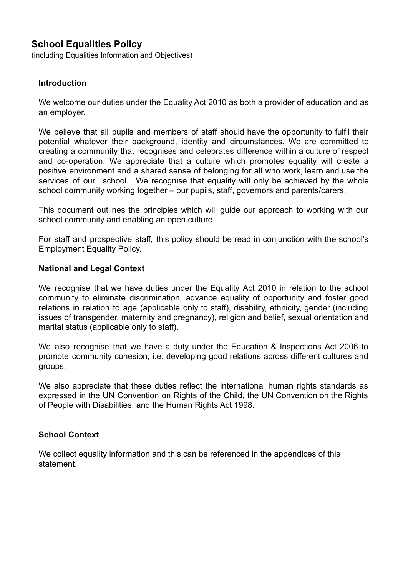# **School Equalities Policy**

(including Equalities Information and Objectives)

#### **Introduction**

We welcome our duties under the Equality Act 2010 as both a provider of education and as an employer.

We believe that all pupils and members of staff should have the opportunity to fulfil their potential whatever their background, identity and circumstances. We are committed to creating a community that recognises and celebrates difference within a culture of respect and co-operation. We appreciate that a culture which promotes equality will create a positive environment and a shared sense of belonging for all who work, learn and use the services of our school. We recognise that equality will only be achieved by the whole school community working together – our pupils, staff, governors and parents/carers.

This document outlines the principles which will guide our approach to working with our school community and enabling an open culture.

For staff and prospective staff, this policy should be read in conjunction with the school's Employment Equality Policy.

#### **National and Legal Context**

We recognise that we have duties under the Equality Act 2010 in relation to the school community to eliminate discrimination, advance equality of opportunity and foster good relations in relation to age (applicable only to staff), disability, ethnicity, gender (including issues of transgender, maternity and pregnancy), religion and belief, sexual orientation and marital status (applicable only to staff).

We also recognise that we have a duty under the Education & Inspections Act 2006 to promote community cohesion, i.e. developing good relations across different cultures and groups.

We also appreciate that these duties reflect the international human rights standards as expressed in the UN Convention on Rights of the Child, the UN Convention on the Rights of People with Disabilities, and the Human Rights Act 1998.

#### **School Context**

We collect equality information and this can be referenced in the appendices of this statement.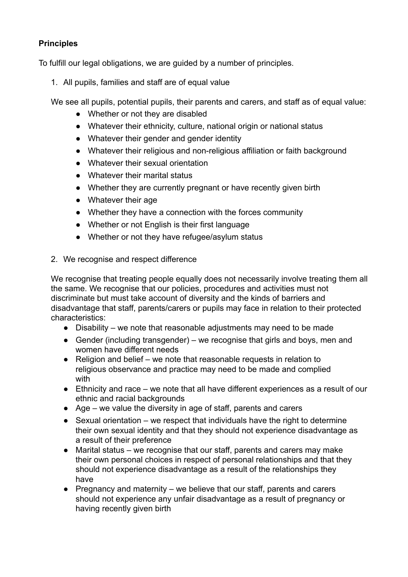# **Principles**

To fulfill our legal obligations, we are guided by a number of principles.

1. All pupils, families and staff are of equal value

We see all pupils, potential pupils, their parents and carers, and staff as of equal value:

- Whether or not they are disabled
- Whatever their ethnicity, culture, national origin or national status
- Whatever their gender and gender identity
- Whatever their religious and non-religious affiliation or faith background
- Whatever their sexual orientation
- Whatever their marital status
- Whether they are currently pregnant or have recently given birth
- Whatever their age
- Whether they have a connection with the forces community
- Whether or not English is their first language
- Whether or not they have refugee/asylum status
- 2. We recognise and respect difference

We recognise that treating people equally does not necessarily involve treating them all the same. We recognise that our policies, procedures and activities must not discriminate but must take account of diversity and the kinds of barriers and disadvantage that staff, parents/carers or pupils may face in relation to their protected characteristics:

- Disability we note that reasonable adjustments may need to be made
- Gender (including transgender) we recognise that girls and boys, men and women have different needs
- Religion and belief we note that reasonable requests in relation to religious observance and practice may need to be made and complied with
- Ethnicity and race we note that all have different experiences as a result of our ethnic and racial backgrounds
- Age we value the diversity in age of staff, parents and carers
- $\bullet$  Sexual orientation we respect that individuals have the right to determine their own sexual identity and that they should not experience disadvantage as a result of their preference
- Marital status we recognise that our staff, parents and carers may make their own personal choices in respect of personal relationships and that they should not experience disadvantage as a result of the relationships they have
- Pregnancy and maternity we believe that our staff, parents and carers should not experience any unfair disadvantage as a result of pregnancy or having recently given birth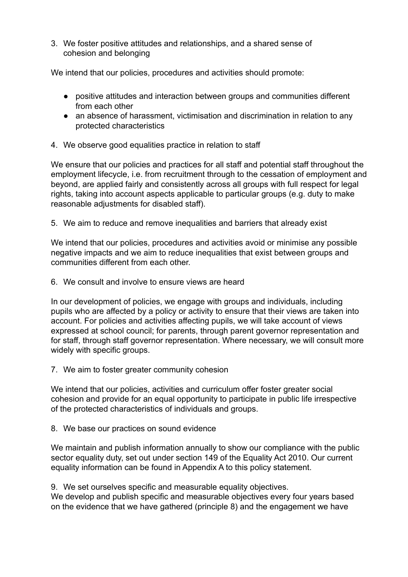3. We foster positive attitudes and relationships, and a shared sense of cohesion and belonging

We intend that our policies, procedures and activities should promote:

- positive attitudes and interaction between groups and communities different from each other
- an absence of harassment, victimisation and discrimination in relation to any protected characteristics
- 4. We observe good equalities practice in relation to staff

We ensure that our policies and practices for all staff and potential staff throughout the employment lifecycle, i.e. from recruitment through to the cessation of employment and beyond, are applied fairly and consistently across all groups with full respect for legal rights, taking into account aspects applicable to particular groups (e.g. duty to make reasonable adjustments for disabled staff).

5. We aim to reduce and remove inequalities and barriers that already exist

We intend that our policies, procedures and activities avoid or minimise any possible negative impacts and we aim to reduce inequalities that exist between groups and communities different from each other.

6. We consult and involve to ensure views are heard

In our development of policies, we engage with groups and individuals, including pupils who are affected by a policy or activity to ensure that their views are taken into account. For policies and activities affecting pupils, we will take account of views expressed at school council; for parents, through parent governor representation and for staff, through staff governor representation. Where necessary, we will consult more widely with specific groups.

7. We aim to foster greater community cohesion

We intend that our policies, activities and curriculum offer foster greater social cohesion and provide for an equal opportunity to participate in public life irrespective of the protected characteristics of individuals and groups.

8. We base our practices on sound evidence

We maintain and publish information annually to show our compliance with the public sector equality duty, set out under section 149 of the Equality Act 2010. Our current equality information can be found in Appendix A to this policy statement.

9. We set ourselves specific and measurable equality objectives. We develop and publish specific and measurable objectives every four years based on the evidence that we have gathered (principle 8) and the engagement we have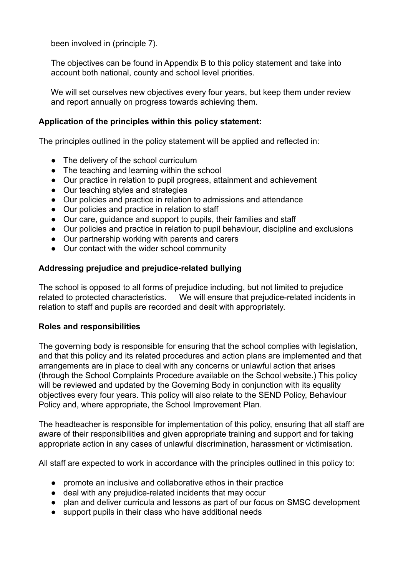been involved in (principle 7).

The objectives can be found in Appendix B to this policy statement and take into account both national, county and school level priorities.

We will set ourselves new objectives every four years, but keep them under review and report annually on progress towards achieving them.

### **Application of the principles within this policy statement:**

The principles outlined in the policy statement will be applied and reflected in:

- The delivery of the school curriculum
- The teaching and learning within the school
- Our practice in relation to pupil progress, attainment and achievement
- Our teaching styles and strategies
- Our policies and practice in relation to admissions and attendance
- Our policies and practice in relation to staff
- Our care, guidance and support to pupils, their families and staff
- Our policies and practice in relation to pupil behaviour, discipline and exclusions
- Our partnership working with parents and carers
- Our contact with the wider school community

### **Addressing prejudice and prejudice-related bullying**

The school is opposed to all forms of prejudice including, but not limited to prejudice related to protected characteristics. We will ensure that prejudice-related incidents in relation to staff and pupils are recorded and dealt with appropriately.

#### **Roles and responsibilities**

The governing body is responsible for ensuring that the school complies with legislation, and that this policy and its related procedures and action plans are implemented and that arrangements are in place to deal with any concerns or unlawful action that arises (through the School Complaints Procedure available on the School website.) This policy will be reviewed and updated by the Governing Body in conjunction with its equality objectives every four years. This policy will also relate to the SEND Policy, Behaviour Policy and, where appropriate, the School Improvement Plan.

The headteacher is responsible for implementation of this policy, ensuring that all staff are aware of their responsibilities and given appropriate training and support and for taking appropriate action in any cases of unlawful discrimination, harassment or victimisation.

All staff are expected to work in accordance with the principles outlined in this policy to:

- promote an inclusive and collaborative ethos in their practice
- deal with any prejudice-related incidents that may occur
- plan and deliver curricula and lessons as part of our focus on SMSC development
- support pupils in their class who have additional needs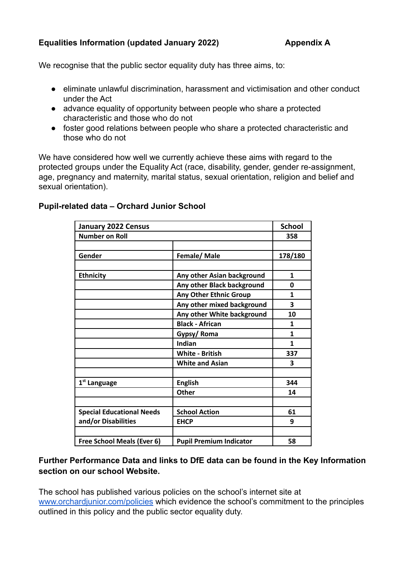## **Equalities Information (updated January 2022) Appendix A**

We recognise that the public sector equality duty has three aims, to:

- eliminate unlawful discrimination, harassment and victimisation and other conduct under the Act
- advance equality of opportunity between people who share a protected characteristic and those who do not
- foster good relations between people who share a protected characteristic and those who do not

We have considered how well we currently achieve these aims with regard to the protected groups under the Equality Act (race, disability, gender, gender re-assignment, age, pregnancy and maternity, marital status, sexual orientation, religion and belief and sexual orientation).

| <b>January 2022 Census</b>       |                                | <b>School</b> |
|----------------------------------|--------------------------------|---------------|
| <b>Number on Roll</b>            |                                | 358           |
|                                  |                                |               |
| Gender                           | Female/Male                    | 178/180       |
|                                  |                                |               |
| <b>Ethnicity</b>                 | Any other Asian background     | 1             |
|                                  | Any other Black background     | 0             |
|                                  | <b>Any Other Ethnic Group</b>  | 1             |
|                                  | Any other mixed background     | 3             |
|                                  | Any other White background     | 10            |
|                                  | <b>Black - African</b>         | 1             |
|                                  | Gypsy/Roma                     | 1             |
|                                  | Indian                         | $\mathbf{1}$  |
|                                  | <b>White - British</b>         | 337           |
|                                  | <b>White and Asian</b>         | 3             |
|                                  |                                |               |
| 1 <sup>st</sup> Language         | <b>English</b>                 | 344           |
|                                  | Other                          | 14            |
|                                  |                                |               |
| <b>Special Educational Needs</b> | <b>School Action</b>           | 61            |
| and/or Disabilities              | <b>EHCP</b>                    | 9             |
|                                  |                                |               |
| Free School Meals (Ever 6)       | <b>Pupil Premium Indicator</b> | 58            |

# **Pupil-related data – Orchard Junior School**

# **Further Performance Data and links to DfE data can be found in the Key Information section on our school Website.**

The school has published various policies on the school's internet site at [www.orchardjunior.com/policies](http://www.orchardjunior.com/policies) which evidence the school's commitment to the principles outlined in this policy and the public sector equality duty.